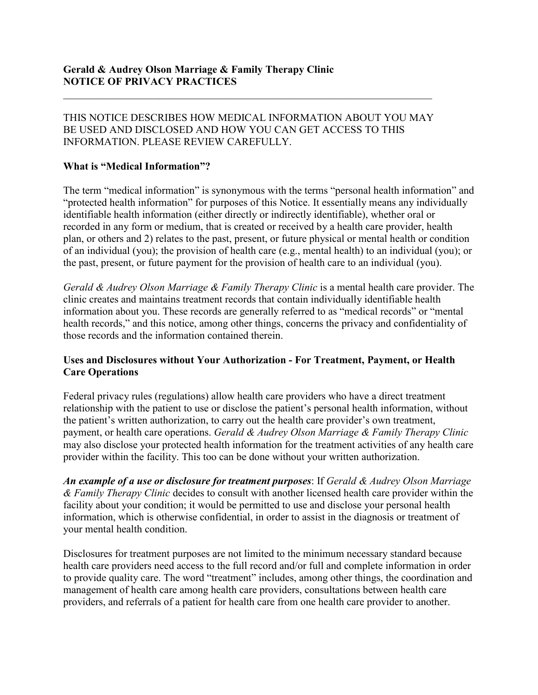# THIS NOTICE DESCRIBES HOW MEDICAL INFORMATION ABOUT YOU MAY BE USED AND DISCLOSED AND HOW YOU CAN GET ACCESS TO THIS Gerald & Audrey Olson Marriage & Family Therapy Clinic<br>
NOTICE OF PRIVACY PRACTICES<br>
THIS NOTICE DESCRIBES HOW MEDICAL INFORMATION ABOUT YOU MAY<br>
BE USED AND DISCLOSED AND HOW YOU CAN GET ACCESS TO THIS<br>
INFORMATION. PLEAS

# What is "Medical Information"?

Gerald & Audrey Olson Marriage & Family Therapy Clinic<br>NOTICE OF PRIVACY PRACTICES<br>THIS NOTICE DESCRIBES HOW MEDICAL INFORMATION ABOUT YOU MAY<br>BE USED AND DISCLOSED AND HOW YOU CAN GET ACCESS TO THIS<br>INFORMATION. PLEASE RE Gerald & Audrey Olson Marriage & Family Therapy Clinic<br>
NOTICE OF PRIVACY PRACTICES<br>
THIS NOTICE DESCRIBES HOW MEDICAL INFORMATION ABOUT YOU MAY<br>
BE USED AND DISCLOSED AND HOW YOU CAN GET ACCESS TO THIS<br>
NIFORMATION. PLEAS Gerald & Audrey Olson Marriage & Family Therapy Clinic<br>
NOTICE OF PRIVACY PRACTICES<br>
THIS NOTICE DESCRIBES HOW MEDICAL INFORMATION ABOUT YOU MAY<br>
BE USED AND DISCLOSED AND HOW YOU CAN GET ACCESS TO THIS<br>
INFORMATION. PLEAS **Corald & Audrey Olson Marriage & Family Therapy Clinic<br>
NOTICE OF PRIVACY PRACTICES**<br>
THIS NOTICE DESCRIBES HOW MEDICAL INFORMATION ABOUT YOU MAY<br>
BE USED AND DISCLOSED AND HOW YOU CAN GET ACCESS TO THIS<br>
INFORMATION. PLE Gerald & Audrey Olson Marriage & Family Therapy Clinic<br>NOTICE OF PRIVACY PRACTICES<br>THIS NOTICE DESCRIBES HOW MEDICAL INFORMATION ABOUT YOU MAY<br>BE USED AND DISCLOSED AND HOW YOU CAN GET ACCESS TO THIS<br>INFORMATION. PLEASE RE Gerald & Audrey Olson Marriage & Family Therapy Clinic<br>NOTICE OF PRIVACY PRACTICES<br>THIS NOTICE DESCRIBES HOW MEDICAL INFORMATION ABOUT YOU MAY<br>BE USED AND DISCLOSED AND HOW YOU CAN GET ACCESS TO THIS<br>INFORMATION, PLEASE RE Gerald & Audrey Olson Marriage & Family Therapy Clinic<br>NOTICE OF PRIVACY PRACTICES<br>THE USED AND DISCLOSED AND HOW YOU CAN GET ACCESS TO THIS<br>THE USED AND DISCLOSED AND HOW YOU CAN GET ACCESS TO THIS<br>INFORMATION. PLEASE REV Gerald & Audrey Olson Marriage & Family Therapy Clinic<br>
NOTICE OF PRIVACY PRACTICES<br>
THIS NOTICE DESCRIBES HOW MEDICAL INFORMATION ABOUT YOU MAY<br>
BE USED AND DISCLOSED AND HOW YOU CAN GET ACCESS TO THIS<br>
INFORMATION. PLEAS **EXECUTE OF PRIVACY PRACTICES**<br>
THIS NOTICE OF PRIVACY PRACTICES<br>
THIS USED AND DISCUOSED AND HOW YOU CAN GET ACCESS TO THIS<br>
BE USED AND DISCUOSED AND HOW YOU CAN GET ACCESS TO THIS<br>
INFORMATION. PLEASE REVIEW CAREFULLY.<br> **EVELTA: EVELTA: CONSTRES HOW MEDICAL INFORMATION ABOUT YOU MAY**<br>
BE USED AND DISCLOSED AND HOW YOU CAN GET ACCESS TO THIS<br>
INFORMATION. PLEASE REVIEW CAREFULLY.<br> **What is "Medical Information"**? is synonymous with the THIS NOTICE DESCRIBES HOW MEDICAL INFORMATION ABOUT YOU MAY<br>BE USED AND DISCLOSED AND HOW YOU CAN GET ACCESS TO THIS<br>INFORMATION. PLEASE REVIEW CAREFULLY.<br>What is "Medical Information"? is synonymous with the terms "person THIS NOTICE DESCRIBES HOW MEDICAL INFORMATION ABOUT YOU MAY<br>THE USED AND DISCLOSED AND HOW YOU CAN GET ACCESS TO THIS<br>THEORMATION. PLEASE REVIEW CAREFULLY.<br>
What is "Medical Information"? symonymous with the terms "persona INFORMATION. PLEASE REVIEW CAREFULLY.<br>
What is "Medical Information"?<br>
The term "medical information"?<br>
The term "medical information" is synonymous with the terms "personal health information" and<br>
"protected health infor Frame and the more interesting of the synonymous with the terms "personal health information" and<br>The term "medical information" is synonymous with the terms "personal health information" and<br>identifiable health informati The term "medical information" is synonymous with the terms "personal health information" and "protected health information" for purposes of this Notice. It essentially means any individually information (ither directly o The conditional method is a matter of the matter of the symmetry and the matter of the symmetric incredible, the carry of individually included in information" for purposes of this Notice. It essentially means any individ

# Care Operations

phase the care operations. The payment of the payment of the care of the care of the care of the frequency of indirectly identifiable), whether oral or identifiable health information (either directly or indirectly identi Example of a tender in the steady value of the treatment activities of an information of an individual (you); the provider, health of an individual (you); the provision of health earc (e.g., mental health in crondition of **Example 10** and  $\mu$  and  $\mu$  and  $\mu$  and  $\mu$  and  $\mu$  and  $\mu$  and  $\mu$  and  $\mu$  and  $\mu$  and  $\mu$  and  $\mu$  and  $\mu$  and  $\mu$  and  $\mu$  and  $\mu$  and  $\mu$  and  $\mu$  and  $\mu$  and  $\mu$  and  $\mu$  and  $\mu$  and  $\mu$  and  $\mu$  a Family pheads and matrix and the proton of the proton of the consult of the digital and the constrained the difference entire is a mental health information about you. These records are generally referred to as "medical r Gerald & Audrey Olson Marriage & Family Therapy Clinic is a mental health care provider. The clinic creates and maintains treatment records that contain individually identifiable health<br>information about you. These record Figure 1.1 The total manning the transmit is treatment proportional in the product of the minimum is other to assist in the health in creates and manitations treatment records are generally referred to as "medical records meant expective traction contributed with a minimum of the minimum of the minimum of the minimum of the minimum of the minimum of the Care Operations without Your Authorization - For Treatment, Payment, or Health Care Ope **Exercise and Disclosures without Your Authorization - For Treatment, Payment, or Health Care of perations**<br> **Care Operations** Federal privacy rules (regulations) allow health care providers who have a direct treatment<br>
re Uses and Disclosures without Your Authorization - For Treatment, Payment, or Health<br>Care Operations)<br>Federal privacy rules (regulations) allow health care providers who have a direct treatment<br>telationship with the paiten Care and Existions whereaver a relation and the rest providers who have a direct treatment relationship with the patient to use or disclose the patient's personal health information, without the patient's written attibuti Eventraly providers, and referrals of a patient for the providers who have a direct treatment relationship with the patient to use or disclose the patient's personal health information, without the patient's written author

An example of a use or disclosure for treatment purposes: If Gerald & Audrey Olson Marriage  $\&$  Family Therapy Clinic decides to consult with another licensed health care provider within the your mental health condition.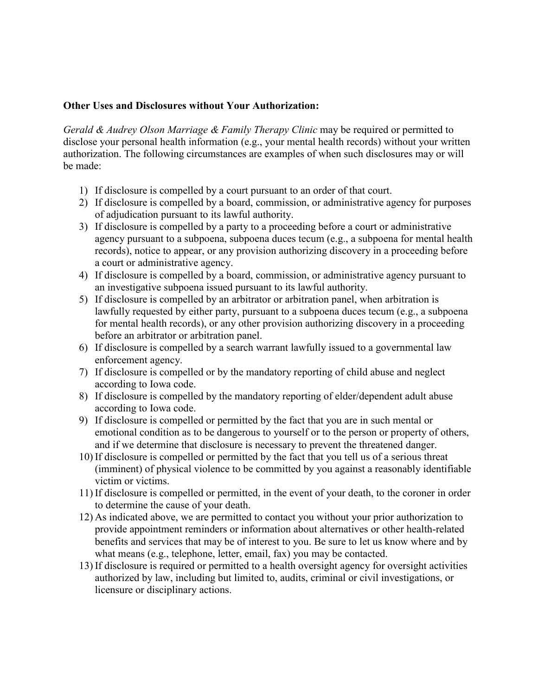Other Uses and Disclosures without Your Authorization:<br> *Gerald & Audrey Olson Marriage & Family Therapy Clinic* may be required or permitted to<br>
disclose your personal health information (e.g., your mental health records) Other Uses and Disclosures without Your Authorization:<br>Gerald & Audrey Olson Marriage & Family Therapy Clinic may be required or permitted to<br>disclose your personal health information (e.g., your mental health records) wit Other Uses and Disclosures without Your Authorization:<br>
Gerald & Audrey Olson Marriage & Family Therapy Clinic may be required or permitted to<br>
disclose your personal health information (e.g., your mental health records) **Other Uses and Disclosures without Your Authorization:**<br>
Gerald & Audrey Olson Marriage & Family Therapy Clinic may be required or permitted to<br>
disclose your personal health information (e.g., your mental health records be made: 1) If disclosure is compelled by a court pursuant to a subpoena for the and the step of the step of the sydem space of the sydem space of the sydem space of the sydem space of the following circumstances are examples of wh ner Uses and Disclosures without Your Authorization:<br>
and & Audrey Olson Marriage & Family Therapy Clinic may be required or permitted to<br>
close your personal health information (e.g., your mental health records) without y

- 
- of adjudication pursuant to its lawful authority.
- and Disclosures without Your Authorization:<br>
and & Audrey Olson Marriage & Family Therapy Clinic may be required or permitted to<br>
close your personal health information (e.g., your mental health records) without your writt Uses and Disclosures without Your Authorization:<br>  $\&$  Audrey Olson Marriage  $\&$  Family Therapy Clinic may be required or permitted to<br>
your personal health information (e.g., your mental health records) without your wri Uses and Disclosures without Your Authorization:<br>  $\&$  *Audrey Olson Marriage*  $\&$  *Family Therapy Clinic* may be required or permitted to<br>
your personal health information (e.g., your mental health records) without your Uses and Disclosures without Your Authorization:<br>  $\&$  Audrey Olson Marriage  $\&$  Family Therapy Clinic may be required or permitted to<br>
your presonal health information (e.g., your mental health records) without your wri 1) If disclosures without Your Authorization:<br>
and & Audrey Olson Marriage & Family Therapy Clinic may be required or permitted to<br>
loos your personal health information (e.g., your mental health records) without your writ Fraction Uses and Disclosures without Your Authorization:<br>
and & Audrey Olson Marriage & Family Therapy Clinic may be required or permitted to<br>
close your personal health information (e.g., your mental health records) wit lses and Disclosures without Your Authorization:<br>
& Audrey Olson Marriage & Family Therapy Clinic may be required or permitted to<br>
your personal health information (e.g., your mental health records) without your written<br>
a Uses and Disclosures without Your Authorization:<br>  $\&$  Audrey Olson Marriage  $\&$  Family Therapy Clinic may be required or permitted to<br>
your personal health information (e.g., your mental health records) without your wri designates while a court rate infinite term in the set of the mass of the set of the set of the set of the set of the set of the set of the set of the set of the set of the set of the set of the set of the set of the set and & Audrey Olson Marriage & Family Therapy Clinic may be required or permitted to<br>color your personal health information (e.g., your mental health records) without your vritten<br>oroization. The following circumstances ar From the following eiteration (weight) was controlled by a board of the mandatory reporting of child abuse is compelled by a court pursuant to an order of that court.<br>
2) If disclosure is compelled by a board, commission, 1) If disclosure is compelled by a court pursuant to an order of that court.<br>
2) If disclosure is compelled by a board, commission, or administrative agency for purposes<br>
3) If disclosure is compelled by a party to a proce 9) I disclosure is compelled by a board, commission, or administrative agency for purposes<br>
2) If disclosure is compelled by a board, commission, or administrative agency for purposes<br>
3) If disclosure is compelled by a p readoming to a complete of the mandatory experimental condition and of adjudication pursuant to its lawful authority.<br>If disclosure is compelled by a party to a proceeding before a court or administrative agency pursuant t readying the determine that a subpendiation of the same and the control of the detection of the same of the same of the same form and the are the same of the records), notice to appear, or any provision authorizing discove
- an investigative subpoena issued pursuant to its lawful authority.
- 2) If disclosure is compelled by the fact that you are in such annihilated in the factorship of the compenent or any provision authorizing discovery in a proceeding before econts), notice to appear, or any provision autho experiment to a tomposition and the specifical violence of the commit of the commit of a commission and the physical violence of H disclosure is compiled by a board, commission, or administrative agency pursuant to an inve victions, notice to supperty and in providing the control and a court or administrative agency.<br>
If disclosure is compelled by a board, commission, or administrative agency of the disclosure is compelled by a board, commis 11) If disclosure is compelled by a board, commission, or administrative agency pursuant to<br>
21) If disclosure is compelled by a board, commission, or administrative appear<br>
55) If disclosure is compelled by an arbitrator
- enforcement agency.
- according to Iowa code.
- according to Iowa code.
- 
- 
- to determine the cause of your death.
- 3) If disclosure is compelled by the particular or arbitration panel, when arbitration is law<br>In the last particular particular or arbitration panel, when arbitration is<br>for mental health records), or any other provision Protonant or conspirate or in which and the contraction and the steamed alternative and the disclosure is competed by either party, pursuant to a subpoena dues is compton above the mean health records, or any other provisi now we consider the may represent the weaker heat in the service of interest to the forematal health records), or any other provision authorizing discovery in a proceeding before an arbitrator or arbitration panel.<br>He disc When the means (well also the mean the product and the substrated. The selection and the following and the following energy. If disclosure is compelled by a search warrant lawfully issued to a governmental law are<br>enforcem 13) If disclosure is compelled by a search warrant lawfully issued to a governmental law<br>
enforcement agency.<br>
The disclosure is compelled by the mandatory reporting of child abuse and neglect<br>
according to lowa code.<br>
13) and the webside of the mandatory percel of system and a state of the selection and the procedure is compelled by the mandatory reporting of child abuse and neglect If disclosure is compelled by the mandatory reporting of e
- licensure or disciplinary actions.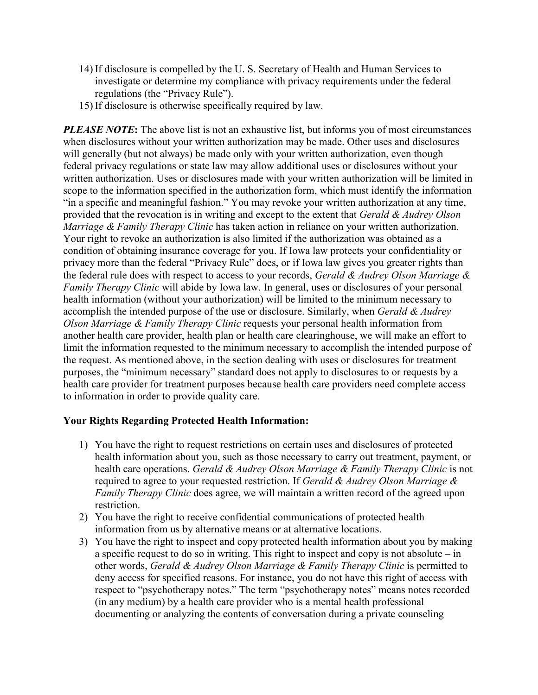- 14) If disclosure is compelled by the U. S. Secretary of Health and Human Services to<br>investigate or determine my compliance with privacy requirements under the federal<br>regulations (the "Privacy Rule").<br>15) If disclosure i If disclosure is compelled by the U. S. Secretary of Health and Human Services to<br>investigate or determine my compliance with privacy requirements under the federal<br>regulations (the "Privacy Rule").<br>If disclosure is other regulations (the "Privacy Rule").
- 

14) If disclosure is compelled by the U. S. Secretary of Health and Human<br>investigate or determine my compliance with privacy requirements une<br>regulations (the "Privacy Rule").<br>15) If disclosure is otherwise specifically r 14) If disclosure is compelled by the U. S. Secretary of Health and Human Services to<br>investigate or determine my compliance with privacy requirements under the federal<br>regulations (the "Privacy Rule").<br>If disclosure is o 14) If disclosure is compelled by the U.S. Secretary of Health and Human Services to<br>investigate or determine my compliance with privacy requirements under the federal<br>regulations (the "Privacy Rule").<br>15) If disclosure i 14) If disclosure is compelled by the U. S. Sceretary of Health and Human Services to<br>investigate or determine my compliance with privacy requirements under the federal<br>regulations (the "Privacy Rule").<br>15) If disclosure 14) If disclosure is compelled by the U. S. Secretary of Health and Human Services to<br>investigate or determine my compliance with privacy requirements under the federal<br>regulations (the "Privacy Rule").<br>15) If disclosure 14) If disclosure is compelled by the U. S. Secretary of Health and Human Services to<br>investigate or determine my compliance with privacy requirements under the federal<br>regulations (the "Privacy Rule").<br>If disclosures is 14) If disclosure is compelled by the U. S. Secretary of Health and Human Services to<br>investigate or determine my compliance with privacy requirements under the federal<br>regulations (the "Privacy Rule").<br>15) If disclosure 14) If disclosure is compelled by the U. S. Secretary of Health and Human Services to<br>investigate or determine my compliance with privacy requirements under the federal<br>15) If disclosure is otherwise specifically required 14) If disclosure is compelled by the U. S. Secretary of Health and Human Services to<br>investigate or determine my compliance with privacy requirements under the federal<br>regulations (the "Privacy Rule").<br>IS if disclosure i 14) If disclosure is compelled by the U. S. Secretary of Health and Human Services to<br>investigate or determine my compliance with privacy requirements under the federal<br>regulations (the "Privacy Rule").<br>The disclosure is 14) If disclosure is compelled by the U. S. Secretary of Health and Human Services to<br>investigate or determine my compliance with privacy requirements under the federal<br>regulations (the "Privacy Rule").<br>15) If disclosure 14) If disclosure is compelled by the U.S. Secretary of Health and Human Services to<br>
investigate or determine my compliance with privacy requirements under the federal<br>
regulations (the "Privacy Rule").<br>
15) If disclosur 14) If disclosure is compelled by the U.S. Secretary of Health and Human Services to investigate or determine my compliance with privacy requirements under the federal TsJ If disclosure is otherwise specifically required 14) If disclosure is compelled by the U. S. Secretary of Health and Human Services to<br>investigate or determine my compliance with privacy requirements under the federal<br>regulations (the "Privacy Rule").<br>15) If disclosure 14) If disclosure is compelled by the U. S. Secretary of Health and Human Services to<br>investigate or determine my compliance with privacy requirements under the federal<br>regulations (the "Privacy Rule").<br>15) If disclosure *i* in consideration (without interaction) with the "Privacy Rule").<br>
investigate or determine my compliance with privacy requirements under the federal<br>
regulations (the "Privacy Rule").<br>
FLEASE NOTE: The above list is n accomplished that the victorial of the method of the minimum of the minimum energy of the use or disclosures of the use of the use of the use of the use of the use of the use of the use of the use of the use of the use of **19.** The discussion of the state is the state of the minimum excession and the minimum of the request As mentioned above, in the section dealing with uses of the request of the request of the request of the request of th **PLATSE NOTE:** The above list is not an exhaustive list, but informs you of most circumstances when disclosures without your written authorization may be made. Other uses and disclosures will generally (but not always) be **PLEASE NOTE:** The above list is not an exhaustive list, but informs you of most circumstances<br>will giorcling wis sindosures without your written authorization may be made. Other uses and disclosures<br>will generally (but n **EVALUAT THE SECT CONSERV AS METATIF AND MANUAL SECTION THEORY OF STAND THEORY AND SURFACT THEORY (NO THEORY IN THEORY (1) THEORY (THEORY INTERFERENCT) WITHEON THEORY (THEORY TROUGH) THEORY (THEORY TROUGH) THEORY (THEORY** will generally (but not always) be made any alway with your written authorization, even though<br>will generally (but not always) be made only with your written authorization, even though<br>redetal privacy regulations or state Facturing the care is treatment with the most interval in the system of the limit of the more provider anthosized in the more interval in the simple scene is set of sectosures without your antibotization. Uses or disclosu to information in order to provide quality care. Trues and the right to revoke an authorized to the right to requested received in the right to revoke an authorization in reliance on your written authorization.<br>
Tright to revoke an authorization is also limited if the a bead to revolution about the authorization is also limited if the authorization was obtained as a<br>photo revolution is also limited if the authorization was obtained as a<br>non of obtaining insurance coverage for you. If Iow For a constraint and the fight to requested restrictions. The consideration was some that the fight care and the fight care of the care of the care of the care of the care of the care of the care of the care of the care of represent the fight to the right to request per server and performance of the fight of the methanic methan the federal "Privacy Rule" does, or if Iowa law gives you greater rights than the format rule does with respect to Fact the consideration is the set of the set of the agree of the agree of the agree of the agree of the rapy Clinic with a bide by love also. Therapy Clinic with a bide by love and the formation (without your reubroiratio 2) You have the right to receive the use of the confidential communications of the right the infinite of the right to receive confidential comparation (which there are the receive confidential computed the minimum necessa information from the state of the use or disclosure. Similarly, when *Gerald & Audrey*<br>islish the intended purpose of the use or disclosure. Similarly, when *Gerald & Audrey*<br>darriage & *Family Therapy Clinic* requests yo 3) *Sourier in the triesting the control and the right to inspect and coverage de Family Therapy Clinic requests your presonal health information from<br>the rhealth care provider, health plan or health eare clearnighouse, w* 

## Your Rights Regarding Protected Health Information:

- restriction.
- 
- absolute the minimum meassary to accomplish the intended purpose is not<br>health care provider, health plan or helath care clearinghouse, we will make an effort to<br>the information requested to the minimum meessary to accomp near a constrained with the section deliably with user of the interact of pure information requested to the minimum necessary to accomplish the interacted purpose of test mentioned above, in the section dealing with uses and the method and the section dealing with uses or disclosures for treatment<br>accel. As mentioned above, in the section dealing with uses or disclosures for treatment<br>are are "minimum necessary" standard does not apply to et the "minimum mecessary" standard alones any standard consideration of the canonical and the minimum mecessary" standard does not apply to disclosures to or requests by a rare provider for treatment purposes because heal (*i*, to minution frocessor is valuated considered by the discussion of required provider for treatment purposes because health care providers need complete access<br>mation in order to provide quality care.<br>
Eights Regardin document of vectain expressive occurred means and disclosures of protects and the protect and the protect and the protect and the protect and the representing of a protected health information about you, such as those nec